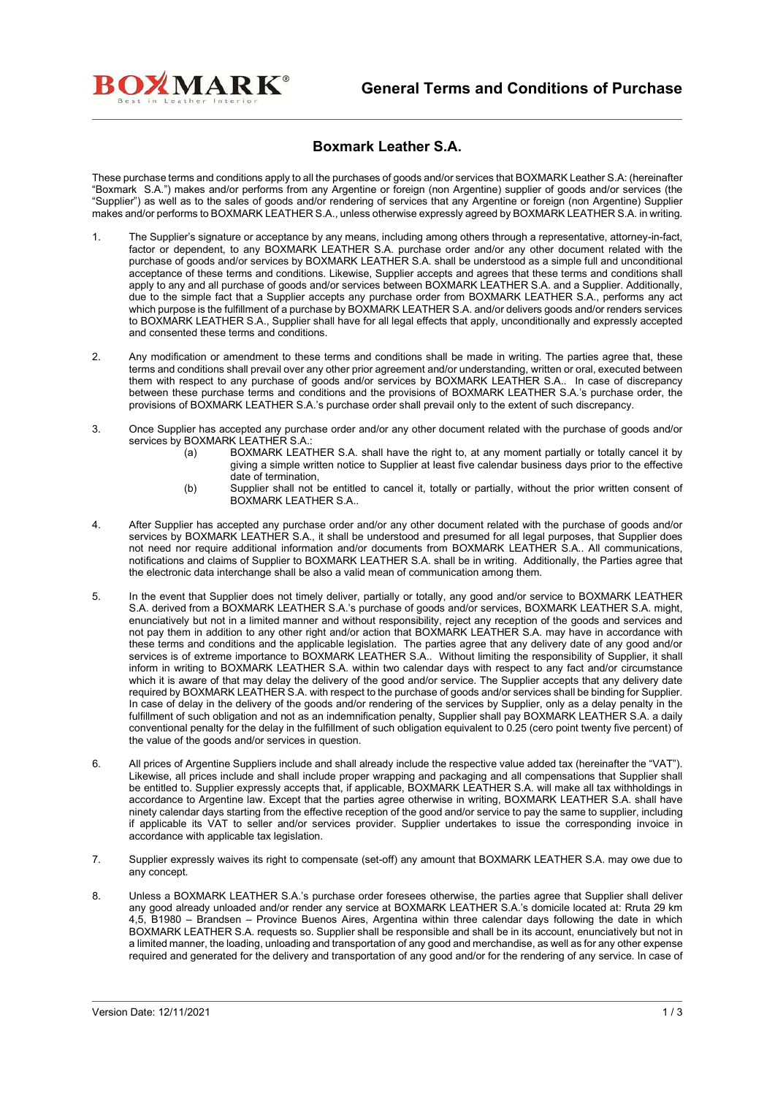

## **Boxmark Leather S.A.**

These purchase terms and conditions apply to all the purchases of goods and/or services that BOXMARK Leather S.A: (hereinafter "Boxmark S.A.") makes and/or performs from any Argentine or foreign (non Argentine) supplier of goods and/or services (the "Supplier") as well as to the sales of goods and/or rendering of services that any Argentine or foreign (non Argentine) Supplier makes and/or performs to BOXMARK LEATHER S.A., unless otherwise expressly agreed by BOXMARK LEATHER S.A. in writing.

- 1. The Supplier's signature or acceptance by any means, including among others through a representative, attorney-in-fact, factor or dependent, to any BOXMARK LEATHER S.A. purchase order and/or any other document related with the purchase of goods and/or services by BOXMARK LEATHER S.A. shall be understood as a simple full and unconditional acceptance of these terms and conditions. Likewise, Supplier accepts and agrees that these terms and conditions shall apply to any and all purchase of goods and/or services between BOXMARK LEATHER S.A. and a Supplier. Additionally, due to the simple fact that a Supplier accepts any purchase order from BOXMARK LEATHER S.A., performs any act which purpose is the fulfillment of a purchase by BOXMARK LEATHER S.A. and/or delivers goods and/or renders services to BOXMARK LEATHER S.A., Supplier shall have for all legal effects that apply, unconditionally and expressly accepted and consented these terms and conditions.
- 2. Any modification or amendment to these terms and conditions shall be made in writing. The parties agree that, these terms and conditions shall prevail over any other prior agreement and/or understanding, written or oral, executed between them with respect to any purchase of goods and/or services by BOXMARK LEATHER S.A.. In case of discrepancy between these purchase terms and conditions and the provisions of BOXMARK LEATHER S.A.'s purchase order, the provisions of BOXMARK LEATHER S.A.'s purchase order shall prevail only to the extent of such discrepancy.
- 3. Once Supplier has accepted any purchase order and/or any other document related with the purchase of goods and/or services by BOXMARK LEATHER S.A.:<br>: a) BOXMARK LEAT
	- BOXMARK LEATHER S.A. shall have the right to, at any moment partially or totally cancel it by giving a simple written notice to Supplier at least five calendar business days prior to the effective date of termination,
	- (b) Supplier shall not be entitled to cancel it, totally or partially, without the prior written consent of BOXMARK LEATHER S.A..
- 4. After Supplier has accepted any purchase order and/or any other document related with the purchase of goods and/or services by BOXMARK LEATHER S.A., it shall be understood and presumed for all legal purposes, that Supplier does not need nor require additional information and/or documents from BOXMARK LEATHER S.A.. All communications, notifications and claims of Supplier to BOXMARK LEATHER S.A. shall be in writing. Additionally, the Parties agree that the electronic data interchange shall be also a valid mean of communication among them.
- 5. In the event that Supplier does not timely deliver, partially or totally, any good and/or service to BOXMARK LEATHER S.A. derived from a BOXMARK LEATHER S.A.'s purchase of goods and/or services, BOXMARK LEATHER S.A. might, enunciatively but not in a limited manner and without responsibility, reject any reception of the goods and services and not pay them in addition to any other right and/or action that BOXMARK LEATHER S.A. may have in accordance with these terms and conditions and the applicable legislation. The parties agree that any delivery date of any good and/or services is of extreme importance to BOXMARK LEATHER S.A.. Without limiting the responsibility of Supplier, it shall inform in writing to BOXMARK LEATHER S.A. within two calendar days with respect to any fact and/or circumstance which it is aware of that may delay the delivery of the good and/or service. The Supplier accepts that any delivery date required by BOXMARK LEATHER S.A. with respect to the purchase of goods and/or services shall be binding for Supplier. In case of delay in the delivery of the goods and/or rendering of the services by Supplier, only as a delay penalty in the fulfillment of such obligation and not as an indemnification penalty, Supplier shall pay BOXMARK LEATHER S.A. a daily conventional penalty for the delay in the fulfillment of such obligation equivalent to 0.25 (cero point twenty five percent) of the value of the goods and/or services in question.
- 6. All prices of Argentine Suppliers include and shall already include the respective value added tax (hereinafter the "VAT"). Likewise, all prices include and shall include proper wrapping and packaging and all compensations that Supplier shall be entitled to. Supplier expressly accepts that, if applicable, BOXMARK LEATHER S.A. will make all tax withholdings in accordance to Argentine law. Except that the parties agree otherwise in writing, BOXMARK LEATHER S.A. shall have ninety calendar days starting from the effective reception of the good and/or service to pay the same to supplier, including if applicable its VAT to seller and/or services provider. Supplier undertakes to issue the corresponding invoice in accordance with applicable tax legislation.
- 7. Supplier expressly waives its right to compensate (set-off) any amount that BOXMARK LEATHER S.A. may owe due to any concept.
- 8. Unless a BOXMARK LEATHER S.A.'s purchase order foresees otherwise, the parties agree that Supplier shall deliver any good already unloaded and/or render any service at BOXMARK LEATHER S.A.'s domicile located at: Rruta 29 km 4,5, B1980 – Brandsen – Province Buenos Aires, Argentina within three calendar days following the date in which BOXMARK LEATHER S.A. requests so. Supplier shall be responsible and shall be in its account, enunciatively but not in a limited manner, the loading, unloading and transportation of any good and merchandise, as well as for any other expense required and generated for the delivery and transportation of any good and/or for the rendering of any service. In case of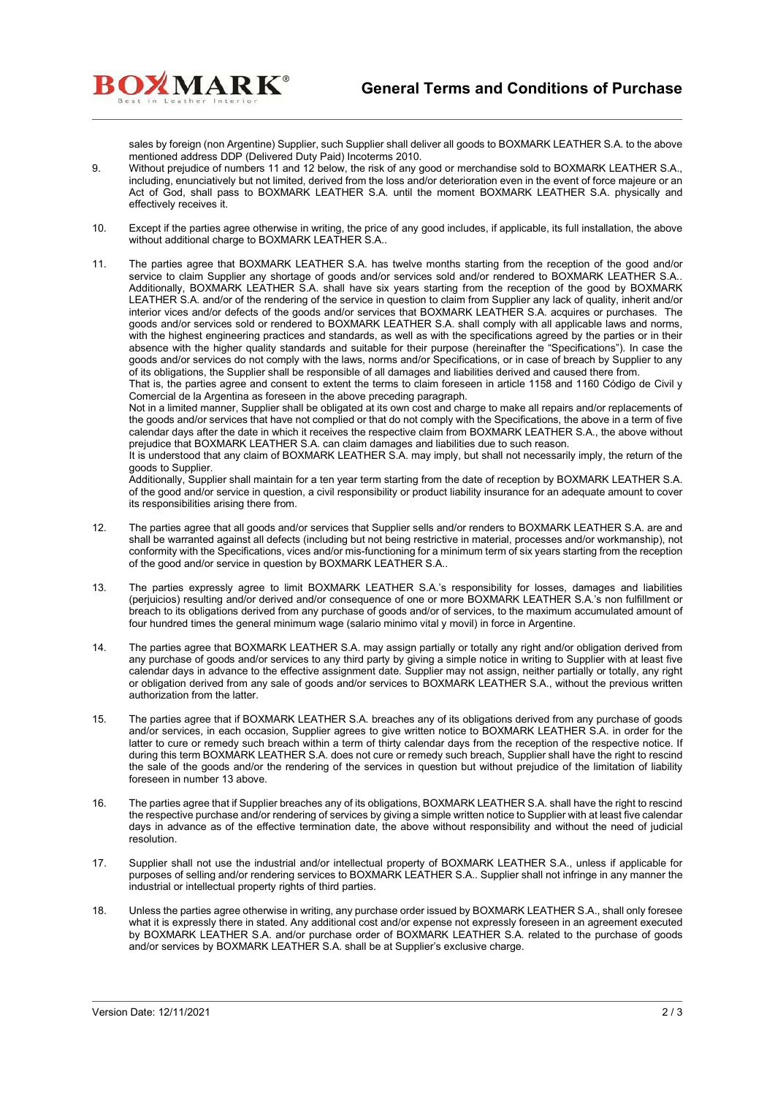sales by foreign (non Argentine) Supplier, such Supplier shall deliver all goods to BOXMARK LEATHER S.A. to the above mentioned address DDP (Delivered Duty Paid) Incoterms 2010.

9. Without prejudice of numbers 11 and 12 below, the risk of any good or merchandise sold to BOXMARK LEATHER S.A., including, enunciatively but not limited, derived from the loss and/or deterioration even in the event of force majeure or an Act of God, shall pass to BOXMARK LEATHER S.A. until the moment BOXMARK LEATHER S.A. physically and effectively receives it.

**BOXMARK**<sup>®</sup>

- 10. Except if the parties agree otherwise in writing, the price of any good includes, if applicable, its full installation, the above without additional charge to BOXMARK LEATHER S.A..
- 11. The parties agree that BOXMARK LEATHER S.A. has twelve months starting from the reception of the good and/or service to claim Supplier any shortage of goods and/or services sold and/or rendered to BOXMARK LEATHER S.A.. Additionally, BOXMARK LEATHER S.A. shall have six years starting from the reception of the good by BOXMARK LEATHER S.A. and/or of the rendering of the service in question to claim from Supplier any lack of quality, inherit and/or interior vices and/or defects of the goods and/or services that BOXMARK LEATHER S.A. acquires or purchases. The goods and/or services sold or rendered to BOXMARK LEATHER S.A. shall comply with all applicable laws and norms, with the highest engineering practices and standards, as well as with the specifications agreed by the parties or in their absence with the higher quality standards and suitable for their purpose (hereinafter the "Specifications"). In case the goods and/or services do not comply with the laws, norms and/or Specifications, or in case of breach by Supplier to any of its obligations, the Supplier shall be responsible of all damages and liabilities derived and caused there from.

That is, the parties agree and consent to extent the terms to claim foreseen in article 1158 and 1160 Código de Civil y Comercial de la Argentina as foreseen in the above preceding paragraph.

Not in a limited manner, Supplier shall be obligated at its own cost and charge to make all repairs and/or replacements of the goods and/or services that have not complied or that do not comply with the Specifications, the above in a term of five calendar days after the date in which it receives the respective claim from BOXMARK LEATHER S.A., the above without prejudice that BOXMARK LEATHER S.A. can claim damages and liabilities due to such reason.

It is understood that any claim of BOXMARK LEATHER S.A. may imply, but shall not necessarily imply, the return of the goods to Supplier.

Additionally, Supplier shall maintain for a ten year term starting from the date of reception by BOXMARK LEATHER S.A. of the good and/or service in question, a civil responsibility or product liability insurance for an adequate amount to cover its responsibilities arising there from.

- 12. The parties agree that all goods and/or services that Supplier sells and/or renders to BOXMARK LEATHER S.A. are and shall be warranted against all defects (including but not being restrictive in material, processes and/or workmanship), not conformity with the Specifications, vices and/or mis-functioning for a minimum term of six years starting from the reception of the good and/or service in question by BOXMARK LEATHER S.A..
- 13. The parties expressly agree to limit BOXMARK LEATHER S.A.'s responsibility for losses, damages and liabilities (perjuicios) resulting and/or derived and/or consequence of one or more BOXMARK LEATHER S.A.'s non fulfillment or breach to its obligations derived from any purchase of goods and/or of services, to the maximum accumulated amount of four hundred times the general minimum wage (salario minimo vital y movil) in force in Argentine.
- 14. The parties agree that BOXMARK LEATHER S.A. may assign partially or totally any right and/or obligation derived from any purchase of goods and/or services to any third party by giving a simple notice in writing to Supplier with at least five calendar days in advance to the effective assignment date. Supplier may not assign, neither partially or totally, any right or obligation derived from any sale of goods and/or services to BOXMARK LEATHER S.A., without the previous written authorization from the latter.
- 15. The parties agree that if BOXMARK LEATHER S.A. breaches any of its obligations derived from any purchase of goods and/or services, in each occasion, Supplier agrees to give written notice to BOXMARK LEATHER S.A. in order for the latter to cure or remedy such breach within a term of thirty calendar days from the reception of the respective notice. If during this term BOXMARK LEATHER S.A. does not cure or remedy such breach, Supplier shall have the right to rescind the sale of the goods and/or the rendering of the services in question but without prejudice of the limitation of liability foreseen in number 13 above.
- 16. The parties agree that if Supplier breaches any of its obligations, BOXMARK LEATHER S.A. shall have the right to rescind the respective purchase and/or rendering of services by giving a simple written notice to Supplier with at least five calendar days in advance as of the effective termination date, the above without responsibility and without the need of judicial resolution.
- 17. Supplier shall not use the industrial and/or intellectual property of BOXMARK LEATHER S.A., unless if applicable for purposes of selling and/or rendering services to BOXMARK LEATHER S.A.. Supplier shall not infringe in any manner the industrial or intellectual property rights of third parties.
- 18. Unless the parties agree otherwise in writing, any purchase order issued by BOXMARK LEATHER S.A., shall only foresee what it is expressly there in stated. Any additional cost and/or expense not expressly foreseen in an agreement executed by BOXMARK LEATHER S.A. and/or purchase order of BOXMARK LEATHER S.A. related to the purchase of goods and/or services by BOXMARK LEATHER S.A. shall be at Supplier's exclusive charge.